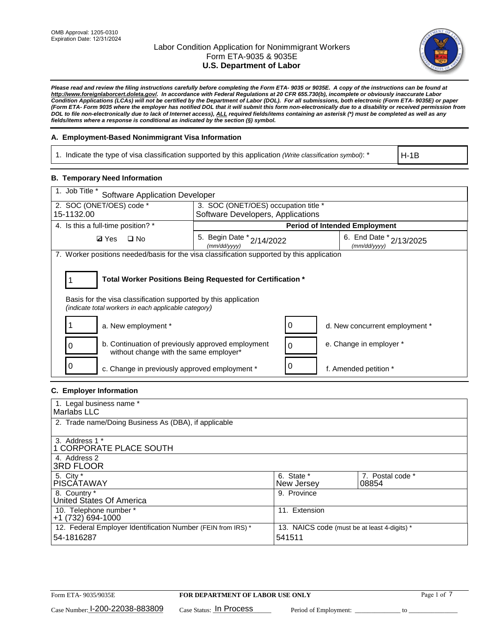

*Please read and review the filing instructions carefully before completing the Form ETA- 9035 or 9035E. A copy of the instructions can be found at http://www.foreignlaborcert.doleta.gov/. In accordance with Federal Regulations at 20 CFR 655.730(b), incomplete or obviously inaccurate Labor Condition Applications (LCAs) will not be certified by the Department of Labor (DOL). For all submissions, both electronic (Form ETA- 9035E) or paper (Form ETA- Form 9035 where the employer has notified DOL that it will submit this form non-electronically due to a disability or received permission from DOL to file non-electronically due to lack of Internet access), ALL required fields/items containing an asterisk (\*) must be completed as well as any fields/items where a response is conditional as indicated by the section (§) symbol.* 

### **A. Employment-Based Nonimmigrant Visa Information**

1. Indicate the type of visa classification supported by this application *(Write classification symbol)*: \*

H-1B

### **B. Temporary Need Information**

| 1. Job Title *<br><b>Software Application Developer</b>                                                                                                                               |                                           |   |                                             |  |  |  |
|---------------------------------------------------------------------------------------------------------------------------------------------------------------------------------------|-------------------------------------------|---|---------------------------------------------|--|--|--|
| 2. SOC (ONET/OES) code *<br>3. SOC (ONET/OES) occupation title *                                                                                                                      |                                           |   |                                             |  |  |  |
| 15-1132.00                                                                                                                                                                            | Software Developers, Applications         |   |                                             |  |  |  |
| 4. Is this a full-time position? *                                                                                                                                                    |                                           |   | <b>Period of Intended Employment</b>        |  |  |  |
| $\Box$ No<br><b>Ø</b> Yes                                                                                                                                                             | 5. Begin Date * 2/14/2022<br>(mm/dd/yyyy) |   | 6. End Date $x_{2/13/2025}$<br>(mm/dd/yyyy) |  |  |  |
| 7. Worker positions needed/basis for the visa classification supported by this application                                                                                            |                                           |   |                                             |  |  |  |
| Total Worker Positions Being Requested for Certification *<br>Basis for the visa classification supported by this application<br>(indicate total workers in each applicable category) |                                           |   |                                             |  |  |  |
| a. New employment *                                                                                                                                                                   |                                           | 0 | d. New concurrent employment *              |  |  |  |
| b. Continuation of previously approved employment<br>without change with the same employer*                                                                                           |                                           | 0 | e. Change in employer *                     |  |  |  |
| c. Change in previously approved employment *                                                                                                                                         |                                           |   | f. Amended petition *                       |  |  |  |

### **C. Employer Information**

| 1. Legal business name *                                     |                                              |                  |
|--------------------------------------------------------------|----------------------------------------------|------------------|
| Marlabs LLC                                                  |                                              |                  |
| 2. Trade name/Doing Business As (DBA), if applicable         |                                              |                  |
|                                                              |                                              |                  |
| 3. Address 1 *                                               |                                              |                  |
| 1 CORPORATE PLACE SOUTH                                      |                                              |                  |
| 4. Address 2                                                 |                                              |                  |
| <b>3RD FLOOR</b>                                             |                                              |                  |
| 5. City *                                                    | 6. State *                                   | 7. Postal code * |
| PISCÁTAWAY                                                   | New Jersey                                   | 08854            |
| 8. Country *                                                 | 9. Province                                  |                  |
| United States Of America                                     |                                              |                  |
| 10. Telephone number *                                       | 11. Extension                                |                  |
| $+1(732)694-1000$                                            |                                              |                  |
| 12. Federal Employer Identification Number (FEIN from IRS) * | 13. NAICS code (must be at least 4-digits) * |                  |
| 54-1816287                                                   | 541511                                       |                  |
|                                                              |                                              |                  |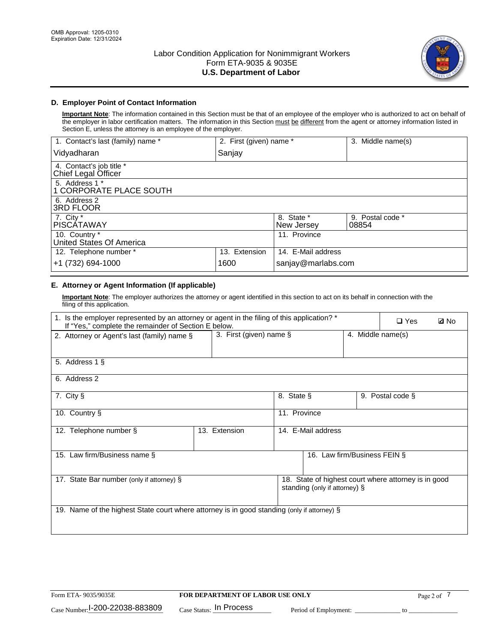

## **D. Employer Point of Contact Information**

**Important Note**: The information contained in this Section must be that of an employee of the employer who is authorized to act on behalf of the employer in labor certification matters. The information in this Section must be different from the agent or attorney information listed in Section E, unless the attorney is an employee of the employer.

| 1. Contact's last (family) name *               | 2. First (given) name * |                          | 3. Middle name(s)         |
|-------------------------------------------------|-------------------------|--------------------------|---------------------------|
| Vidyadharan                                     | Sanjay                  |                          |                           |
| 4. Contact's job title *<br>Chief Legal Officer |                         |                          |                           |
| 5. Address 1 *<br>1 CORPORATE PLACE SOUTH       |                         |                          |                           |
| 6. Address 2<br><b>3RD FLOOR</b>                |                         |                          |                           |
| 7. City *<br><b>PISCÁTAWAY</b>                  |                         | 8. State *<br>New Jersey | 9. Postal code *<br>08854 |
| 10. Country *<br>United States Of America       |                         | 11. Province             |                           |
| 12. Telephone number *                          | 13. Extension           | 14. E-Mail address       |                           |
| +1 (732) 694-1000                               | 1600                    | sanjay@marlabs.com       |                           |

# **E. Attorney or Agent Information (If applicable)**

**Important Note**: The employer authorizes the attorney or agent identified in this section to act on its behalf in connection with the filing of this application.

| 1. Is the employer represented by an attorney or agent in the filing of this application? *<br>If "Yes," complete the remainder of Section E below. |               |                                                 |                               |  | $\Box$ Yes                                           | <b>ØNo</b> |
|-----------------------------------------------------------------------------------------------------------------------------------------------------|---------------|-------------------------------------------------|-------------------------------|--|------------------------------------------------------|------------|
| 2. Attorney or Agent's last (family) name §                                                                                                         |               | 3. First (given) name $\S$<br>4. Middle name(s) |                               |  |                                                      |            |
| 5. Address 1 §                                                                                                                                      |               |                                                 |                               |  |                                                      |            |
| 6. Address 2                                                                                                                                        |               |                                                 |                               |  |                                                      |            |
| 7. City §                                                                                                                                           |               | 8. State §                                      |                               |  | 9. Postal code §                                     |            |
| 10. Country §                                                                                                                                       |               | 11. Province                                    |                               |  |                                                      |            |
| 12. Telephone number §                                                                                                                              | 13. Extension | 14. E-Mail address                              |                               |  |                                                      |            |
| 15. Law firm/Business name §                                                                                                                        |               |                                                 | 16. Law firm/Business FEIN §  |  |                                                      |            |
| 17. State Bar number (only if attorney) §                                                                                                           |               |                                                 | standing (only if attorney) § |  | 18. State of highest court where attorney is in good |            |
| 19. Name of the highest State court where attorney is in good standing (only if attorney) §                                                         |               |                                                 |                               |  |                                                      |            |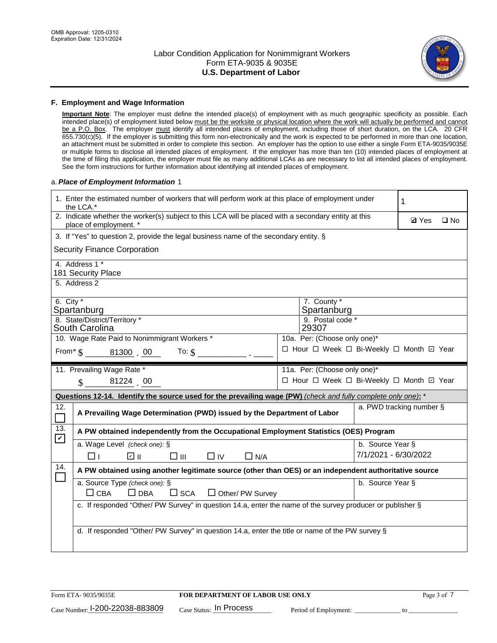

#### **F. Employment and Wage Information**

**Important Note**: The employer must define the intended place(s) of employment with as much geographic specificity as possible. Each intended place(s) of employment listed below must be the worksite or physical location where the work will actually be performed and cannot be a P.O. Box. The employer must identify all intended places of employment, including those of short duration, on the LCA. 20 CFR 655.730(c)(5). If the employer is submitting this form non-electronically and the work is expected to be performed in more than one location, an attachment must be submitted in order to complete this section. An employer has the option to use either a single Form ETA-9035/9035E or multiple forms to disclose all intended places of employment. If the employer has more than ten (10) intended places of employment at the time of filing this application, the employer must file as many additional LCAs as are necessary to list all intended places of employment. See the form instructions for further information about identifying all intended places of employment.

#### a.*Place of Employment Information* 1

| 1. Enter the estimated number of workers that will perform work at this place of employment under<br>the LCA.*                 | 1                                                                                     |                          |  |  |  |  |  |
|--------------------------------------------------------------------------------------------------------------------------------|---------------------------------------------------------------------------------------|--------------------------|--|--|--|--|--|
| 2. Indicate whether the worker(s) subject to this LCA will be placed with a secondary entity at this<br>place of employment. * | <b>Ø</b> Yes<br>$\square$ No                                                          |                          |  |  |  |  |  |
|                                                                                                                                | 3. If "Yes" to question 2, provide the legal business name of the secondary entity. § |                          |  |  |  |  |  |
| <b>Security Finance Corporation</b>                                                                                            |                                                                                       |                          |  |  |  |  |  |
| 4. Address 1 *<br><b>181 Security Place</b>                                                                                    |                                                                                       |                          |  |  |  |  |  |
| 5. Address 2                                                                                                                   |                                                                                       |                          |  |  |  |  |  |
| 6. City $*$<br>Spartanburg                                                                                                     | 7. County *<br>Spartanburg                                                            |                          |  |  |  |  |  |
| 8. State/District/Territory *<br>South Carolina                                                                                | 9. Postal code *<br>29307                                                             |                          |  |  |  |  |  |
| 10. Wage Rate Paid to Nonimmigrant Workers *                                                                                   |                                                                                       |                          |  |  |  |  |  |
| □ Hour □ Week □ Bi-Weekly □ Month ☑ Year<br>From $\frac{1}{5}$ 81300 00<br>To: $$$                                             |                                                                                       |                          |  |  |  |  |  |
| 11. Prevailing Wage Rate *                                                                                                     | 11a. Per: (Choose only one)*                                                          |                          |  |  |  |  |  |
| $\sin 81224$ 00                                                                                                                | □ Hour □ Week □ Bi-Weekly □ Month ☑ Year                                              |                          |  |  |  |  |  |
| Questions 12-14. Identify the source used for the prevailing wage (PW) (check and fully complete only one): *                  |                                                                                       |                          |  |  |  |  |  |
| 12.<br>A Prevailing Wage Determination (PWD) issued by the Department of Labor                                                 |                                                                                       | a. PWD tracking number § |  |  |  |  |  |
| 13.<br>A PW obtained independently from the Occupational Employment Statistics (OES) Program<br>$\blacktriangledown$           |                                                                                       |                          |  |  |  |  |  |
| a. Wage Level (check one): §                                                                                                   | b. Source Year §                                                                      |                          |  |  |  |  |  |
| ☑ ⊪<br>□⊪<br>$\Box$ IV<br>⊓⊥<br>$\Box$ N/A                                                                                     |                                                                                       | 7/1/2021 - 6/30/2022     |  |  |  |  |  |
| 14.<br>A PW obtained using another legitimate source (other than OES) or an independent authoritative source                   |                                                                                       |                          |  |  |  |  |  |
| a. Source Type (check one): §<br>$\Box$ CBA<br>$\Box$ DBA<br>$\square$ SCA                                                     | b. Source Year §                                                                      |                          |  |  |  |  |  |
| $\Box$ Other/ PW Survey                                                                                                        |                                                                                       |                          |  |  |  |  |  |
| c. If responded "Other/ PW Survey" in question 14.a, enter the name of the survey producer or publisher §                      |                                                                                       |                          |  |  |  |  |  |
|                                                                                                                                |                                                                                       |                          |  |  |  |  |  |
| d. If responded "Other/ PW Survey" in question 14.a, enter the title or name of the PW survey §                                |                                                                                       |                          |  |  |  |  |  |
|                                                                                                                                |                                                                                       |                          |  |  |  |  |  |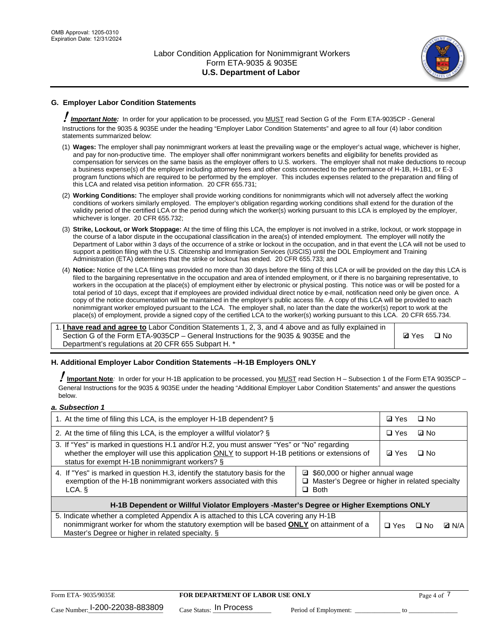

# **G. Employer Labor Condition Statements**

! *Important Note:* In order for your application to be processed, you MUST read Section G of the Form ETA-9035CP - General Instructions for the 9035 & 9035E under the heading "Employer Labor Condition Statements" and agree to all four (4) labor condition statements summarized below:

- (1) **Wages:** The employer shall pay nonimmigrant workers at least the prevailing wage or the employer's actual wage, whichever is higher, and pay for non-productive time. The employer shall offer nonimmigrant workers benefits and eligibility for benefits provided as compensation for services on the same basis as the employer offers to U.S. workers. The employer shall not make deductions to recoup a business expense(s) of the employer including attorney fees and other costs connected to the performance of H-1B, H-1B1, or E-3 program functions which are required to be performed by the employer. This includes expenses related to the preparation and filing of this LCA and related visa petition information. 20 CFR 655.731;
- (2) **Working Conditions:** The employer shall provide working conditions for nonimmigrants which will not adversely affect the working conditions of workers similarly employed. The employer's obligation regarding working conditions shall extend for the duration of the validity period of the certified LCA or the period during which the worker(s) working pursuant to this LCA is employed by the employer, whichever is longer. 20 CFR 655.732;
- (3) **Strike, Lockout, or Work Stoppage:** At the time of filing this LCA, the employer is not involved in a strike, lockout, or work stoppage in the course of a labor dispute in the occupational classification in the area(s) of intended employment. The employer will notify the Department of Labor within 3 days of the occurrence of a strike or lockout in the occupation, and in that event the LCA will not be used to support a petition filing with the U.S. Citizenship and Immigration Services (USCIS) until the DOL Employment and Training Administration (ETA) determines that the strike or lockout has ended. 20 CFR 655.733; and
- (4) **Notice:** Notice of the LCA filing was provided no more than 30 days before the filing of this LCA or will be provided on the day this LCA is filed to the bargaining representative in the occupation and area of intended employment, or if there is no bargaining representative, to workers in the occupation at the place(s) of employment either by electronic or physical posting. This notice was or will be posted for a total period of 10 days, except that if employees are provided individual direct notice by e-mail, notification need only be given once. A copy of the notice documentation will be maintained in the employer's public access file. A copy of this LCA will be provided to each nonimmigrant worker employed pursuant to the LCA. The employer shall, no later than the date the worker(s) report to work at the place(s) of employment, provide a signed copy of the certified LCA to the worker(s) working pursuant to this LCA. 20 CFR 655.734.

1. **I have read and agree to** Labor Condition Statements 1, 2, 3, and 4 above and as fully explained in Section G of the Form ETA-9035CP – General Instructions for the 9035 & 9035E and the Department's regulations at 20 CFR 655 Subpart H. \*

**Ø**Yes ロNo

### **H. Additional Employer Labor Condition Statements –H-1B Employers ONLY**

!**Important Note***:* In order for your H-1B application to be processed, you MUST read Section H – Subsection 1 of the Form ETA 9035CP – General Instructions for the 9035 & 9035E under the heading "Additional Employer Labor Condition Statements" and answer the questions below.

#### *a. Subsection 1*

| 1. At the time of filing this LCA, is the employer H-1B dependent? §                                                                                                                                                                                               | ⊡ Yes        | $\Box$ No |              |  |  |
|--------------------------------------------------------------------------------------------------------------------------------------------------------------------------------------------------------------------------------------------------------------------|--------------|-----------|--------------|--|--|
| 2. At the time of filing this LCA, is the employer a willful violator? $\S$                                                                                                                                                                                        | $\Box$ Yes   | ⊡ No      |              |  |  |
| 3. If "Yes" is marked in questions H.1 and/or H.2, you must answer "Yes" or "No" regarding<br>whether the employer will use this application ONLY to support H-1B petitions or extensions of<br>status for exempt H-1B nonimmigrant workers? §                     | <b>☑</b> Yes | $\Box$ No |              |  |  |
| 4. If "Yes" is marked in question H.3, identify the statutory basis for the<br>□ \$60,000 or higher annual wage<br>exemption of the H-1B nonimmigrant workers associated with this<br>$\Box$ Master's Degree or higher in related specialty<br>$\Box$ Both<br>LCA. |              |           |              |  |  |
| H-1B Dependent or Willful Violator Employers -Master's Degree or Higher Exemptions ONLY                                                                                                                                                                            |              |           |              |  |  |
| 5. Indicate whether a completed Appendix A is attached to this LCA covering any H-1B<br>nonimmigrant worker for whom the statutory exemption will be based <b>ONLY</b> on attainment of a<br>Master's Degree or higher in related specialty. §                     | $\Box$ Yes   | ⊡ No      | <b>D</b> N/A |  |  |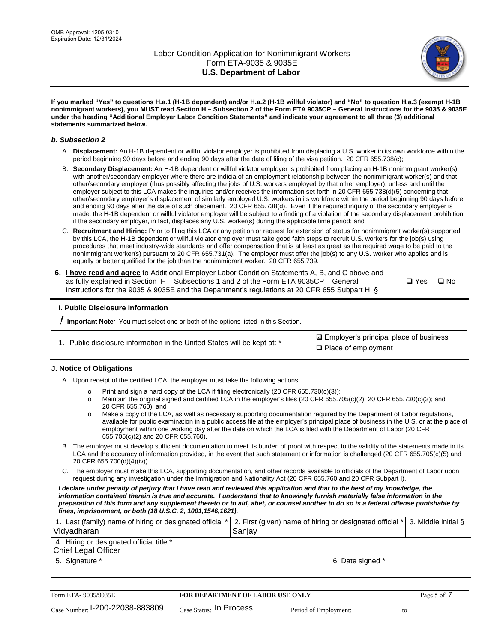

**If you marked "Yes" to questions H.a.1 (H-1B dependent) and/or H.a.2 (H-1B willful violator) and "No" to question H.a.3 (exempt H-1B nonimmigrant workers), you MUST read Section H – Subsection 2 of the Form ETA 9035CP – General Instructions for the 9035 & 9035E under the heading "Additional Employer Labor Condition Statements" and indicate your agreement to all three (3) additional statements summarized below.**

#### *b. Subsection 2*

- A. **Displacement:** An H-1B dependent or willful violator employer is prohibited from displacing a U.S. worker in its own workforce within the period beginning 90 days before and ending 90 days after the date of filing of the visa petition. 20 CFR 655.738(c);
- B. **Secondary Displacement:** An H-1B dependent or willful violator employer is prohibited from placing an H-1B nonimmigrant worker(s) with another/secondary employer where there are indicia of an employment relationship between the nonimmigrant worker(s) and that other/secondary employer (thus possibly affecting the jobs of U.S. workers employed by that other employer), unless and until the employer subject to this LCA makes the inquiries and/or receives the information set forth in 20 CFR 655.738(d)(5) concerning that other/secondary employer's displacement of similarly employed U.S. workers in its workforce within the period beginning 90 days before and ending 90 days after the date of such placement. 20 CFR 655.738(d). Even if the required inquiry of the secondary employer is made, the H-1B dependent or willful violator employer will be subject to a finding of a violation of the secondary displacement prohibition if the secondary employer, in fact, displaces any U.S. worker(s) during the applicable time period; and
- C. **Recruitment and Hiring:** Prior to filing this LCA or any petition or request for extension of status for nonimmigrant worker(s) supported by this LCA, the H-1B dependent or willful violator employer must take good faith steps to recruit U.S. workers for the job(s) using procedures that meet industry-wide standards and offer compensation that is at least as great as the required wage to be paid to the nonimmigrant worker(s) pursuant to 20 CFR 655.731(a). The employer must offer the job(s) to any U.S. worker who applies and is equally or better qualified for the job than the nonimmigrant worker. 20 CFR 655.739.

| 6. I have read and agree to Additional Employer Labor Condition Statements A, B, and C above and |       |           |
|--------------------------------------------------------------------------------------------------|-------|-----------|
| as fully explained in Section H – Subsections 1 and 2 of the Form ETA 9035CP – General           | □ Yes | $\Box$ No |
| Instructions for the 9035 & 9035E and the Department's regulations at 20 CFR 655 Subpart H. §    |       |           |

### **I. Public Disclosure Information**

! **Important Note***:* You must select one or both of the options listed in this Section.

|  | 1. Public disclosure information in the United States will be kept at: * |  |  |  |
|--|--------------------------------------------------------------------------|--|--|--|
|  |                                                                          |  |  |  |

**sqrt** Employer's principal place of business □ Place of employment

### **J. Notice of Obligations**

A. Upon receipt of the certified LCA, the employer must take the following actions:

- o Print and sign a hard copy of the LCA if filing electronically (20 CFR 655.730(c)(3));<br>
Maintain the original signed and certified LCA in the employer's files (20 CFR 655.7
- Maintain the original signed and certified LCA in the employer's files (20 CFR 655.705(c)(2); 20 CFR 655.730(c)(3); and 20 CFR 655.760); and
- o Make a copy of the LCA, as well as necessary supporting documentation required by the Department of Labor regulations, available for public examination in a public access file at the employer's principal place of business in the U.S. or at the place of employment within one working day after the date on which the LCA is filed with the Department of Labor (20 CFR 655.705(c)(2) and 20 CFR 655.760).
- B. The employer must develop sufficient documentation to meet its burden of proof with respect to the validity of the statements made in its LCA and the accuracy of information provided, in the event that such statement or information is challenged (20 CFR 655.705(c)(5) and 20 CFR 655.700(d)(4)(iv)).
- C. The employer must make this LCA, supporting documentation, and other records available to officials of the Department of Labor upon request during any investigation under the Immigration and Nationality Act (20 CFR 655.760 and 20 CFR Subpart I).

*I declare under penalty of perjury that I have read and reviewed this application and that to the best of my knowledge, the*  information contained therein is true and accurate. I understand that to knowingly furnish materially false information in the *preparation of this form and any supplement thereto or to aid, abet, or counsel another to do so is a federal offense punishable by fines, imprisonment, or both (18 U.S.C. 2, 1001,1546,1621).*

| 1. Last (family) name of hiring or designated official *<br>Vidyadharan | 2. First (given) name of hiring or designated official * 3. Middle initial §<br>Sanjay |                  |  |
|-------------------------------------------------------------------------|----------------------------------------------------------------------------------------|------------------|--|
| 4. Hiring or designated official title *<br>Chief Legal Officer         |                                                                                        |                  |  |
| 5. Signature *                                                          |                                                                                        | 6. Date signed * |  |

| Form ETA-9035/9035E                         | <b>FOR DEPARTMENT OF LABOR USE ONLY</b> | Page 5 of 7           |  |
|---------------------------------------------|-----------------------------------------|-----------------------|--|
| $_{\text{Case Number:}}$ I-200-22038-883809 | $_{\text{Case Status:}}$ In Process     | Period of Employment: |  |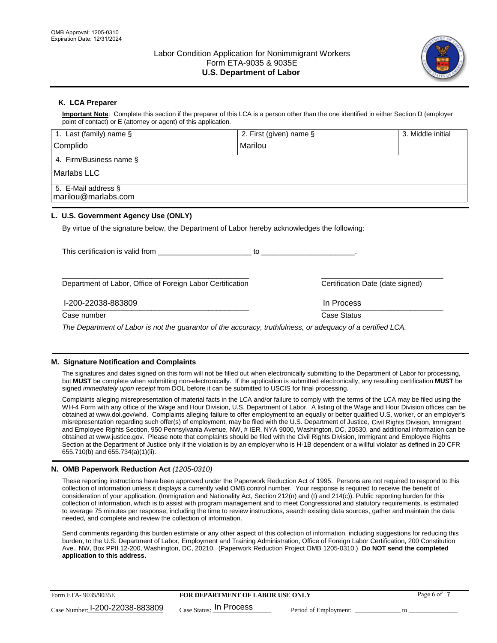

## **K. LCA Preparer**

**Important Note**: Complete this section if the preparer of this LCA is a person other than the one identified in either Section D (employer point of contact) or E (attorney or agent) of this application.

| 1. Last (family) name $\S$                                                                   | 2. First (given) name §                                                                                                                                                                                                        | 3. Middle initial |
|----------------------------------------------------------------------------------------------|--------------------------------------------------------------------------------------------------------------------------------------------------------------------------------------------------------------------------------|-------------------|
| Complido                                                                                     | Marilou                                                                                                                                                                                                                        |                   |
| 4. Firm/Business name §                                                                      |                                                                                                                                                                                                                                |                   |
| Marlabs LLC                                                                                  |                                                                                                                                                                                                                                |                   |
| 5. E-Mail address §<br>marilou@marlabs.com                                                   |                                                                                                                                                                                                                                |                   |
| L. U.S. Government Agency Use (ONLY)                                                         |                                                                                                                                                                                                                                |                   |
| By virtue of the signature below, the Department of Labor hereby acknowledges the following: |                                                                                                                                                                                                                                |                   |
| This certification is valid from                                                             | to the contract of the contract of the contract of the contract of the contract of the contract of the contract of the contract of the contract of the contract of the contract of the contract of the contract of the contrac |                   |
| Department of Labor, Office of Foreign Labor Certification                                   | Certification Date (date signed)                                                                                                                                                                                               |                   |

 $\frac{1111100688}{1111100688}$ I-200-22038-883809 In Process

Case number **Case Status** Case Status **Case Status** 

*The Department of Labor is not the guarantor of the accuracy, truthfulness, or adequacy of a certified LCA.*

### **M. Signature Notification and Complaints**

The signatures and dates signed on this form will not be filled out when electronically submitting to the Department of Labor for processing, but **MUST** be complete when submitting non-electronically. If the application is submitted electronically, any resulting certification **MUST** be signed *immediately upon receipt* from DOL before it can be submitted to USCIS for final processing.

Complaints alleging misrepresentation of material facts in the LCA and/or failure to comply with the terms of the LCA may be filed using the WH-4 Form with any office of the Wage and Hour Division, U.S. Department of Labor. A listing of the Wage and Hour Division offices can be obtained at www.dol.gov/whd. Complaints alleging failure to offer employment to an equally or better qualified U.S. worker, or an employer's misrepresentation regarding such offer(s) of employment, may be filed with the U.S. Department of Justice, Civil Rights Division, Immigrant and Employee Rights Section, 950 Pennsylvania Avenue, NW, # IER, NYA 9000, Washington, DC, 20530, and additional information can be obtained at www.justice.gov. Please note that complaints should be filed with the Civil Rights Division, Immigrant and Employee Rights Section at the Department of Justice only if the violation is by an employer who is H-1B dependent or a willful violator as defined in 20 CFR 655.710(b) and 655.734(a)(1)(ii).

### **N. OMB Paperwork Reduction Act** *(1205-0310)*

These reporting instructions have been approved under the Paperwork Reduction Act of 1995. Persons are not required to respond to this collection of information unless it displays a currently valid OMB control number. Your response is required to receive the benefit of consideration of your application. (Immigration and Nationality Act, Section 212(n) and (t) and 214(c)). Public reporting burden for this collection of information, which is to assist with program management and to meet Congressional and statutory requirements, is estimated to average 75 minutes per response, including the time to review instructions, search existing data sources, gather and maintain the data needed, and complete and review the collection of information.

Send comments regarding this burden estimate or any other aspect of this collection of information, including suggestions for reducing this burden, to the U.S. Department of Labor, Employment and Training Administration, Office of Foreign Labor Certification, 200 Constitution Ave., NW, Box PPII 12-200, Washington, DC, 20210. (Paperwork Reduction Project OMB 1205-0310.) **Do NOT send the completed application to this address.**

| Form ETA-9035/9035E             | <b>FOR DEPARTMENT OF LABOR USE ONLY</b> | Page 6 of             |  |
|---------------------------------|-----------------------------------------|-----------------------|--|
| Case Number: 1-200-22038-883809 | In Process<br>Case Status:              | Period of Employment: |  |